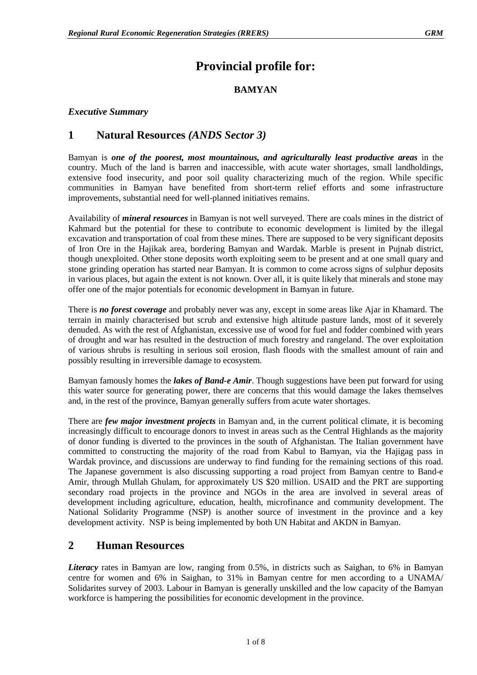# **Provincial profile for:**

#### **BAMYAN**

#### *Executive Summary*

### **1 Natural Resources** *(ANDS Sector 3)*

Bamyan is *one of the poorest, most mountainous, and agriculturally least productive areas* in the country. Much of the land is barren and inaccessible, with acute water shortages, small landholdings, extensive food insecurity, and poor soil quality characterizing much of the region. While specific communities in Bamyan have benefited from short-term relief efforts and some infrastructure improvements, substantial need for well-planned initiatives remains.

Availability of *mineral resources* in Bamyan is not well surveyed. There are coals mines in the district of Kahmard but the potential for these to contribute to economic development is limited by the illegal excavation and transportation of coal from these mines. There are supposed to be very significant deposits of Iron Ore in the Hajikak area, bordering Bamyan and Wardak. Marble is present in Pujnab district, though unexploited. Other stone deposits worth exploiting seem to be present and at one small quary and stone grinding operation has started near Bamyan. It is common to come across signs of sulphur deposits in various places, but again the extent is not known. Over all, it is quite likely that minerals and stone may offer one of the major potentials for economic development in Bamyan in future.

There is *no forest coverage* and probably never was any, except in some areas like Ajar in Khamard. The terrain in mainly characterised but scrub and extensive high altitude pasture lands, most of it severely denuded. As with the rest of Afghanistan, excessive use of wood for fuel and fodder combined with years of drought and war has resulted in the destruction of much forestry and rangeland. The over exploitation of various shrubs is resulting in serious soil erosion, flash floods with the smallest amount of rain and possibly resulting in irreversible damage to ecosystem.

Bamyan famously homes the *lakes of Band-e Amir*. Though suggestions have been put forward for using this water source for generating power, there are concerns that this would damage the lakes themselves and, in the rest of the province, Bamyan generally suffers from acute water shortages.

There are *few major investment projects* in Bamyan and, in the current political climate, it is becoming increasingly difficult to encourage donors to invest in areas such as the Central Highlands as the majority of donor funding is diverted to the provinces in the south of Afghanistan. The Italian government have committed to constructing the majority of the road from Kabul to Bamyan, via the Hajigag pass in Wardak province, and discussions are underway to find funding for the remaining sections of this road. The Japanese government is also discussing supporting a road project from Bamyan centre to Band-e Amir, through Mullah Ghulam, for approximately US \$20 million. USAID and the PRT are supporting secondary road projects in the province and NGOs in the area are involved in several areas of development including agriculture, education, health, microfinance and community development. The National Solidarity Programme (NSP) is another source of investment in the province and a key development activity. NSP is being implemented by both UN Habitat and AKDN in Bamyan.

### **2 Human Resources**

*Literacy* rates in Bamyan are low, ranging from 0.5%, in districts such as Saighan, to 6% in Bamyan centre for women and 6% in Saighan, to 31% in Bamyan centre for men according to a UNAMA/ Solidarites survey of 2003. Labour in Bamyan is generally unskilled and the low capacity of the Bamyan workforce is hampering the possibilities for economic development in the province.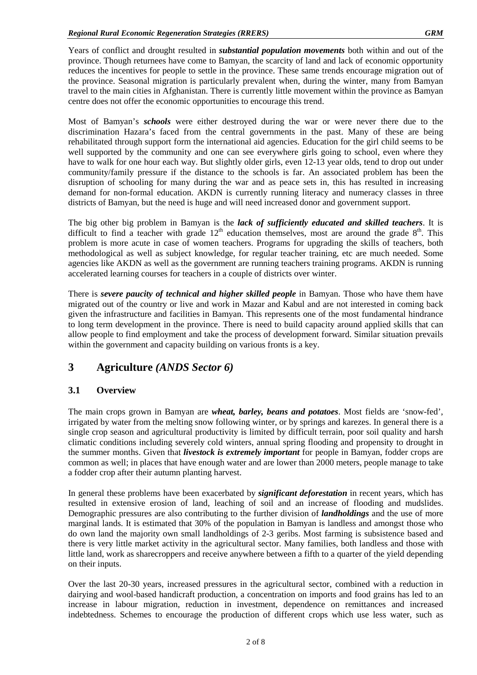Years of conflict and drought resulted in *substantial population movements* both within and out of the province. Though returnees have come to Bamyan, the scarcity of land and lack of economic opportunity reduces the incentives for people to settle in the province. These same trends encourage migration out of the province. Seasonal migration is particularly prevalent when, during the winter, many from Bamyan travel to the main cities in Afghanistan. There is currently little movement within the province as Bamyan centre does not offer the economic opportunities to encourage this trend.

Most of Bamyan's *schools* were either destroyed during the war or were never there due to the discrimination Hazara's faced from the central governments in the past. Many of these are being rehabilitated through support form the international aid agencies. Education for the girl child seems to be well supported by the community and one can see everywhere girls going to school, even where they have to walk for one hour each way. But slightly older girls, even 12-13 year olds, tend to drop out under community/family pressure if the distance to the schools is far. An associated problem has been the disruption of schooling for many during the war and as peace sets in, this has resulted in increasing demand for non-formal education. AKDN is currently running literacy and numeracy classes in three districts of Bamyan, but the need is huge and will need increased donor and government support.

The big other big problem in Bamyan is the *lack of sufficiently educated and skilled teachers*. It is difficult to find a teacher with grade  $12<sup>th</sup>$  education themselves, most are around the grade  $8<sup>th</sup>$ . This problem is more acute in case of women teachers. Programs for upgrading the skills of teachers, both methodological as well as subject knowledge, for regular teacher training, etc are much needed. Some agencies like AKDN as well as the government are running teachers training programs. AKDN is running accelerated learning courses for teachers in a couple of districts over winter.

There is *severe paucity of technical and higher skilled people* in Bamyan. Those who have them have migrated out of the country or live and work in Mazar and Kabul and are not interested in coming back given the infrastructure and facilities in Bamyan. This represents one of the most fundamental hindrance to long term development in the province. There is need to build capacity around applied skills that can allow people to find employment and take the process of development forward. Similar situation prevails within the government and capacity building on various fronts is a key.

### **3 Agriculture** *(ANDS Sector 6)*

#### **3.1 Overview**

The main crops grown in Bamyan are *wheat, barley, beans and potatoes*. Most fields are 'snow-fed', irrigated by water from the melting snow following winter, or by springs and karezes. In general there is a single crop season and agricultural productivity is limited by difficult terrain, poor soil quality and harsh climatic conditions including severely cold winters, annual spring flooding and propensity to drought in the summer months. Given that *livestock is extremely important* for people in Bamyan, fodder crops are common as well; in places that have enough water and are lower than 2000 meters, people manage to take a fodder crop after their autumn planting harvest.

In general these problems have been exacerbated by *significant deforestation* in recent years, which has resulted in extensive erosion of land, leaching of soil and an increase of flooding and mudslides. Demographic pressures are also contributing to the further division of *landholdings* and the use of more marginal lands. It is estimated that 30% of the population in Bamyan is landless and amongst those who do own land the majority own small landholdings of 2-3 geribs. Most farming is subsistence based and there is very little market activity in the agricultural sector. Many families, both landless and those with little land, work as sharecroppers and receive anywhere between a fifth to a quarter of the yield depending on their inputs.

Over the last 20-30 years, increased pressures in the agricultural sector, combined with a reduction in dairying and wool-based handicraft production, a concentration on imports and food grains has led to an increase in labour migration, reduction in investment, dependence on remittances and increased indebtedness. Schemes to encourage the production of different crops which use less water, such as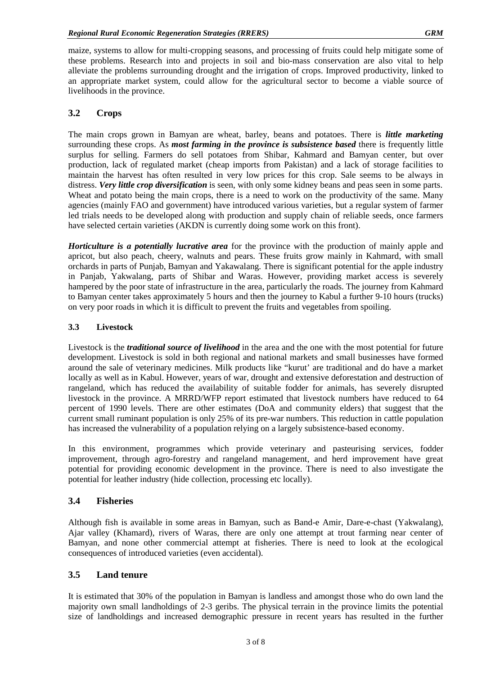maize, systems to allow for multi-cropping seasons, and processing of fruits could help mitigate some of these problems. Research into and projects in soil and bio-mass conservation are also vital to help alleviate the problems surrounding drought and the irrigation of crops. Improved productivity, linked to an appropriate market system, could allow for the agricultural sector to become a viable source of livelihoods in the province.

#### **3.2 Crops**

The main crops grown in Bamyan are wheat, barley, beans and potatoes. There is *little marketing* surrounding these crops. As *most farming in the province is subsistence based* there is frequently little surplus for selling. Farmers do sell potatoes from Shibar, Kahmard and Bamyan center, but over production, lack of regulated market (cheap imports from Pakistan) and a lack of storage facilities to maintain the harvest has often resulted in very low prices for this crop. Sale seems to be always in distress. *Very little crop diversification* is seen, with only some kidney beans and peas seen in some parts. Wheat and potato being the main crops, there is a need to work on the productivity of the same. Many agencies (mainly FAO and government) have introduced various varieties, but a regular system of farmer led trials needs to be developed along with production and supply chain of reliable seeds, once farmers have selected certain varieties (AKDN is currently doing some work on this front).

*Horticulture is a potentially lucrative area* for the province with the production of mainly apple and apricot, but also peach, cheery, walnuts and pears. These fruits grow mainly in Kahmard, with small orchards in parts of Punjab, Bamyan and Yakawalang. There is significant potential for the apple industry in Panjab, Yakwalang, parts of Shibar and Waras. However, providing market access is severely hampered by the poor state of infrastructure in the area, particularly the roads. The journey from Kahmard to Bamyan center takes approximately 5 hours and then the journey to Kabul a further 9-10 hours (trucks) on very poor roads in which it is difficult to prevent the fruits and vegetables from spoiling.

#### **3.3 Livestock**

Livestock is the *traditional source of livelihood* in the area and the one with the most potential for future development. Livestock is sold in both regional and national markets and small businesses have formed around the sale of veterinary medicines. Milk products like "kurut' are traditional and do have a market locally as well as in Kabul. However, years of war, drought and extensive deforestation and destruction of rangeland, which has reduced the availability of suitable fodder for animals, has severely disrupted livestock in the province. A MRRD/WFP report estimated that livestock numbers have reduced to 64 percent of 1990 levels. There are other estimates (DoA and community elders) that suggest that the current small ruminant population is only 25% of its pre-war numbers. This reduction in cattle population has increased the vulnerability of a population relying on a largely subsistence-based economy.

In this environment, programmes which provide veterinary and pasteurising services, fodder improvement, through agro-forestry and rangeland management, and herd improvement have great potential for providing economic development in the province. There is need to also investigate the potential for leather industry (hide collection, processing etc locally).

#### **3.4 Fisheries**

Although fish is available in some areas in Bamyan, such as Band-e Amir, Dare-e-chast (Yakwalang), Ajar valley (Khamard), rivers of Waras, there are only one attempt at trout farming near center of Bamyan, and none other commercial attempt at fisheries. There is need to look at the ecological consequences of introduced varieties (even accidental).

#### **3.5 Land tenure**

It is estimated that 30% of the population in Bamyan is landless and amongst those who do own land the majority own small landholdings of 2-3 geribs. The physical terrain in the province limits the potential size of landholdings and increased demographic pressure in recent years has resulted in the further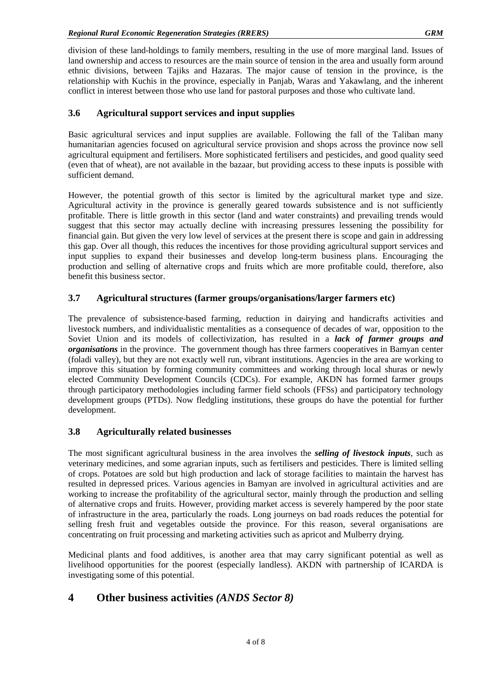division of these land-holdings to family members, resulting in the use of more marginal land. Issues of land ownership and access to resources are the main source of tension in the area and usually form around ethnic divisions, between Tajiks and Hazaras. The major cause of tension in the province, is the relationship with Kuchis in the province, especially in Panjab, Waras and Yakawlang, and the inherent conflict in interest between those who use land for pastoral purposes and those who cultivate land.

#### **3.6 Agricultural support services and input supplies**

Basic agricultural services and input supplies are available. Following the fall of the Taliban many humanitarian agencies focused on agricultural service provision and shops across the province now sell agricultural equipment and fertilisers. More sophisticated fertilisers and pesticides, and good quality seed (even that of wheat), are not available in the bazaar, but providing access to these inputs is possible with sufficient demand.

However, the potential growth of this sector is limited by the agricultural market type and size. Agricultural activity in the province is generally geared towards subsistence and is not sufficiently profitable. There is little growth in this sector (land and water constraints) and prevailing trends would suggest that this sector may actually decline with increasing pressures lessening the possibility for financial gain. But given the very low level of services at the present there is scope and gain in addressing this gap. Over all though, this reduces the incentives for those providing agricultural support services and input supplies to expand their businesses and develop long-term business plans. Encouraging the production and selling of alternative crops and fruits which are more profitable could, therefore, also benefit this business sector.

#### **3.7 Agricultural structures (farmer groups/organisations/larger farmers etc)**

The prevalence of subsistence-based farming, reduction in dairying and handicrafts activities and livestock numbers, and individualistic mentalities as a consequence of decades of war, opposition to the Soviet Union and its models of collectivization, has resulted in a *lack of farmer groups and organisations* in the province. The government though has three farmers cooperatives in Bamyan center (foladi valley), but they are not exactly well run, vibrant institutions. Agencies in the area are working to improve this situation by forming community committees and working through local shuras or newly elected Community Development Councils (CDCs). For example, AKDN has formed farmer groups through participatory methodologies including farmer field schools (FFSs) and participatory technology development groups (PTDs). Now fledgling institutions, these groups do have the potential for further development.

#### **3.8 Agriculturally related businesses**

The most significant agricultural business in the area involves the *selling of livestock inputs*, such as veterinary medicines, and some agrarian inputs, such as fertilisers and pesticides. There is limited selling of crops. Potatoes are sold but high production and lack of storage facilities to maintain the harvest has resulted in depressed prices. Various agencies in Bamyan are involved in agricultural activities and are working to increase the profitability of the agricultural sector, mainly through the production and selling of alternative crops and fruits. However, providing market access is severely hampered by the poor state of infrastructure in the area, particularly the roads. Long journeys on bad roads reduces the potential for selling fresh fruit and vegetables outside the province. For this reason, several organisations are concentrating on fruit processing and marketing activities such as apricot and Mulberry drying.

Medicinal plants and food additives, is another area that may carry significant potential as well as livelihood opportunities for the poorest (especially landless). AKDN with partnership of ICARDA is investigating some of this potential.

### **4 Other business activities** *(ANDS Sector 8)*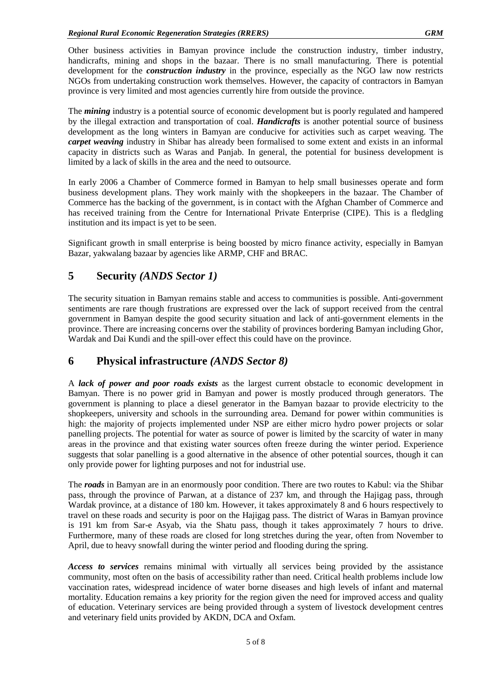Other business activities in Bamyan province include the construction industry, timber industry, handicrafts, mining and shops in the bazaar. There is no small manufacturing. There is potential development for the *construction industry* in the province, especially as the NGO law now restricts NGOs from undertaking construction work themselves. However, the capacity of contractors in Bamyan province is very limited and most agencies currently hire from outside the province.

The *mining* industry is a potential source of economic development but is poorly regulated and hampered by the illegal extraction and transportation of coal. *Handicrafts* is another potential source of business development as the long winters in Bamyan are conducive for activities such as carpet weaving. The *carpet weaving* industry in Shibar has already been formalised to some extent and exists in an informal capacity in districts such as Waras and Panjab. In general, the potential for business development is limited by a lack of skills in the area and the need to outsource.

In early 2006 a Chamber of Commerce formed in Bamyan to help small businesses operate and form business development plans. They work mainly with the shopkeepers in the bazaar. The Chamber of Commerce has the backing of the government, is in contact with the Afghan Chamber of Commerce and has received training from the Centre for International Private Enterprise (CIPE). This is a fledgling institution and its impact is yet to be seen.

Significant growth in small enterprise is being boosted by micro finance activity, especially in Bamyan Bazar, yakwalang bazaar by agencies like ARMP, CHF and BRAC.

# **5 Security** *(ANDS Sector 1)*

The security situation in Bamyan remains stable and access to communities is possible. Anti-government sentiments are rare though frustrations are expressed over the lack of support received from the central government in Bamyan despite the good security situation and lack of anti-government elements in the province. There are increasing concerns over the stability of provinces bordering Bamyan including Ghor, Wardak and Dai Kundi and the spill-over effect this could have on the province.

### **6 Physical infrastructure** *(ANDS Sector 8)*

A *lack of power and poor roads exists* as the largest current obstacle to economic development in Bamyan. There is no power grid in Bamyan and power is mostly produced through generators. The government is planning to place a diesel generator in the Bamyan bazaar to provide electricity to the shopkeepers, university and schools in the surrounding area. Demand for power within communities is high: the majority of projects implemented under NSP are either micro hydro power projects or solar panelling projects. The potential for water as source of power is limited by the scarcity of water in many areas in the province and that existing water sources often freeze during the winter period. Experience suggests that solar panelling is a good alternative in the absence of other potential sources, though it can only provide power for lighting purposes and not for industrial use.

The *roads* in Bamyan are in an enormously poor condition. There are two routes to Kabul: via the Shibar pass, through the province of Parwan, at a distance of 237 km, and through the Hajigag pass, through Wardak province, at a distance of 180 km. However, it takes approximately 8 and 6 hours respectively to travel on these roads and security is poor on the Hajigag pass. The district of Waras in Bamyan province is 191 km from Sar-e Asyab, via the Shatu pass, though it takes approximately 7 hours to drive. Furthermore, many of these roads are closed for long stretches during the year, often from November to April, due to heavy snowfall during the winter period and flooding during the spring.

*Access to services* remains minimal with virtually all services being provided by the assistance community, most often on the basis of accessibility rather than need. Critical health problems include low vaccination rates, widespread incidence of water borne diseases and high levels of infant and maternal mortality. Education remains a key priority for the region given the need for improved access and quality of education. Veterinary services are being provided through a system of livestock development centres and veterinary field units provided by AKDN, DCA and Oxfam.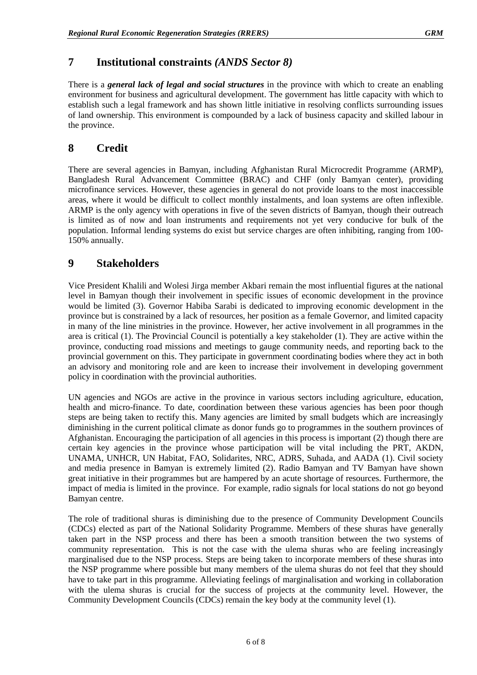### **7 Institutional constraints** *(ANDS Sector 8)*

There is a *general lack of legal and social structures* in the province with which to create an enabling environment for business and agricultural development. The government has little capacity with which to establish such a legal framework and has shown little initiative in resolving conflicts surrounding issues of land ownership. This environment is compounded by a lack of business capacity and skilled labour in the province.

## **8 Credit**

There are several agencies in Bamyan, including Afghanistan Rural Microcredit Programme (ARMP), Bangladesh Rural Advancement Committee (BRAC) and CHF (only Bamyan center), providing microfinance services. However, these agencies in general do not provide loans to the most inaccessible areas, where it would be difficult to collect monthly instalments, and loan systems are often inflexible. ARMP is the only agency with operations in five of the seven districts of Bamyan, though their outreach is limited as of now and loan instruments and requirements not yet very conducive for bulk of the population. Informal lending systems do exist but service charges are often inhibiting, ranging from 100- 150% annually.

### **9 Stakeholders**

Vice President Khalili and Wolesi Jirga member Akbari remain the most influential figures at the national level in Bamyan though their involvement in specific issues of economic development in the province would be limited (3). Governor Habiba Sarabi is dedicated to improving economic development in the province but is constrained by a lack of resources, her position as a female Governor, and limited capacity in many of the line ministries in the province. However, her active involvement in all programmes in the area is critical (1). The Provincial Council is potentially a key stakeholder (1). They are active within the province, conducting road missions and meetings to gauge community needs, and reporting back to the provincial government on this. They participate in government coordinating bodies where they act in both an advisory and monitoring role and are keen to increase their involvement in developing government policy in coordination with the provincial authorities.

UN agencies and NGOs are active in the province in various sectors including agriculture, education, health and micro-finance. To date, coordination between these various agencies has been poor though steps are being taken to rectify this. Many agencies are limited by small budgets which are increasingly diminishing in the current political climate as donor funds go to programmes in the southern provinces of Afghanistan. Encouraging the participation of all agencies in this process is important (2) though there are certain key agencies in the province whose participation will be vital including the PRT, AKDN, UNAMA, UNHCR, UN Habitat, FAO, Solidarites, NRC, ADRS, Suhada, and AADA (1). Civil society and media presence in Bamyan is extremely limited (2). Radio Bamyan and TV Bamyan have shown great initiative in their programmes but are hampered by an acute shortage of resources. Furthermore, the impact of media is limited in the province. For example, radio signals for local stations do not go beyond Bamyan centre.

The role of traditional shuras is diminishing due to the presence of Community Development Councils (CDCs) elected as part of the National Solidarity Programme. Members of these shuras have generally taken part in the NSP process and there has been a smooth transition between the two systems of community representation. This is not the case with the ulema shuras who are feeling increasingly marginalised due to the NSP process. Steps are being taken to incorporate members of these shuras into the NSP programme where possible but many members of the ulema shuras do not feel that they should have to take part in this programme. Alleviating feelings of marginalisation and working in collaboration with the ulema shuras is crucial for the success of projects at the community level. However, the Community Development Councils (CDCs) remain the key body at the community level (1).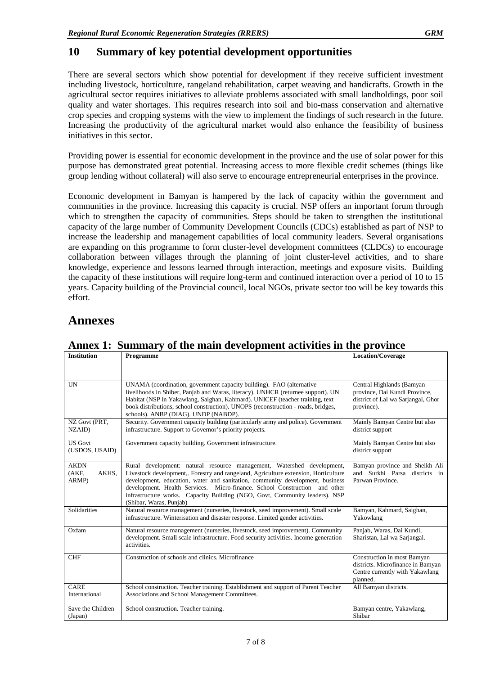#### **10 Summary of key potential development opportunities**

There are several sectors which show potential for development if they receive sufficient investment including livestock, horticulture, rangeland rehabilitation, carpet weaving and handicrafts. Growth in the agricultural sector requires initiatives to alleviate problems associated with small landholdings, poor soil quality and water shortages. This requires research into soil and bio-mass conservation and alternative crop species and cropping systems with the view to implement the findings of such research in the future. Increasing the productivity of the agricultural market would also enhance the feasibility of business initiatives in this sector.

Providing power is essential for economic development in the province and the use of solar power for this purpose has demonstrated great potential. Increasing access to more flexible credit schemes (things like group lending without collateral) will also serve to encourage entrepreneurial enterprises in the province.

Economic development in Bamyan is hampered by the lack of capacity within the government and communities in the province. Increasing this capacity is crucial. NSP offers an important forum through which to strengthen the capacity of communities. Steps should be taken to strengthen the institutional capacity of the large number of Community Development Councils (CDCs) established as part of NSP to increase the leadership and management capabilities of local community leaders. Several organisations are expanding on this programme to form cluster-level development committees (CLDCs) to encourage collaboration between villages through the planning of joint cluster-level activities, and to share knowledge, experience and lessons learned through interaction, meetings and exposure visits. Building the capacity of these institutions will require long-term and continued interaction over a period of 10 to 15 years. Capacity building of the Provincial council, local NGOs, private sector too will be key towards this effort.

# **Annexes**

| <b>Institution</b>                     | Programme                                                                                                                                                                                                                                                                                                                                                                                                                              | <b>Location/Coverage</b>                                                                                        |
|----------------------------------------|----------------------------------------------------------------------------------------------------------------------------------------------------------------------------------------------------------------------------------------------------------------------------------------------------------------------------------------------------------------------------------------------------------------------------------------|-----------------------------------------------------------------------------------------------------------------|
| <b>UN</b>                              | UNAMA (coordination, government capacity building). FAO (alternative<br>livelihoods in Shiber, Panjab and Waras, literacy). UNHCR (returnee support). UN<br>Habitat (NSP in Yakawlang, Saighan, Kahmard). UNICEF (teacher training, text<br>book distributions, school construction). UNOPS (reconstruction - roads, bridges,<br>schools). ANBP (DIAG). UNDP (NABDP).                                                                  | Central Highlands (Bamyan<br>province, Dai Kundi Province,<br>district of Lal wa Sarjangal, Ghor<br>province).  |
| NZ Govt (PRT,<br>NZAID)                | Security. Government capacity building (particularly army and police). Government<br>infrastructure. Support to Governor's priority projects.                                                                                                                                                                                                                                                                                          | Mainly Bamyan Centre but also<br>district support                                                               |
| <b>US Govt</b><br>(USDOS, USAID)       | Government capacity building. Government infrastructure.                                                                                                                                                                                                                                                                                                                                                                               | Mainly Bamyan Centre but also<br>district support                                                               |
| <b>AKDN</b><br>(AKF,<br>AKHS.<br>ARMP) | Rural development: natural resource management, Watershed development,<br>Livestock development,. Forestry and rangeland, Agriculture extension, Horticulture<br>development, education, water and sanitation, community development, business<br>development. Health Services. Micro-finance. School Construction and other<br>infrastructure works. Capacity Building (NGO, Govt, Community leaders). NSP<br>(Shibar, Waras, Puniab) | Bamyan province and Sheikh Ali<br>and Surkhi Parsa districts in<br>Parwan Province.                             |
| Solidarities                           | Natural resource management (nurseries, livestock, seed improvement). Small scale<br>infrastructure. Winterisation and disaster response. Limited gender activities.                                                                                                                                                                                                                                                                   | Bamyan, Kahmard, Saighan,<br>Yakowlang                                                                          |
| Oxfam                                  | Natural resource management (nurseries, livestock, seed improvement). Community<br>development. Small scale infrastructure. Food security activities. Income generation<br>activities.                                                                                                                                                                                                                                                 | Panjab, Waras, Dai Kundi,<br>Sharistan, Lal wa Sarjangal.                                                       |
| <b>CHF</b>                             | Construction of schools and clinics. Microfinance                                                                                                                                                                                                                                                                                                                                                                                      | Construction in most Bamyan<br>districts. Microfinance in Bamyan<br>Centre currently with Yakawlang<br>planned. |
| CARE<br>International                  | School construction. Teacher training. Establishment and support of Parent Teacher<br>Associations and School Management Committees.                                                                                                                                                                                                                                                                                                   | All Bamyan districts.                                                                                           |
| Save the Children<br>(Japan)           | School construction. Teacher training.                                                                                                                                                                                                                                                                                                                                                                                                 | Bamyan centre, Yakawlang,<br>Shibar                                                                             |

**Annex 1: Summary of the main development activities in the province**